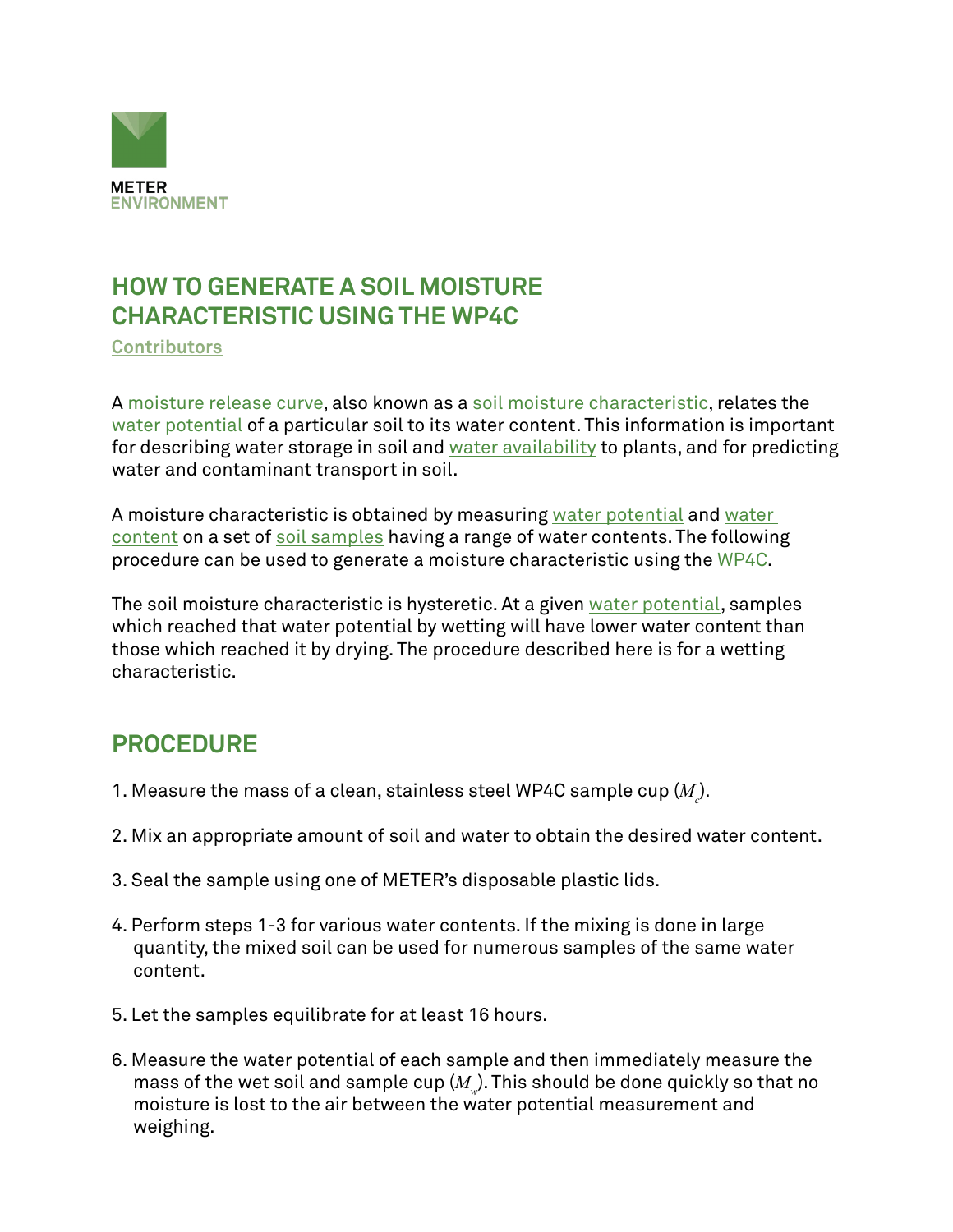

# **HOW TO GENERATE A SOIL MOISTURE CHARACTERISTIC USING THE WP4C**

**[Contributors](https://www.metergroup.com/meter_knowledgebase/about-us-meter-environment/)**

A [moisture release curve,](https://www.metergroup.com/environment/articles/when-to-water/) also known as a [soil moisture characteristic](https://www.metergroup.com/environment/articles/create-full-moisture-release-curve-using-wp4c-hyprop/), relates the [water potential](https://www.metergroup.com/environment/events/water-potential-101-making-use-important-tool/) of a particular soil to its water content. This information is important for describing water storage in soil and [water availability](https://www.metergroup.com/environment/articles/how-to-model-plant-available-water/) to plants, and for predicting water and contaminant transport in soil.

A moisture characteristic is obtained by measuring [water potential](https://www.metergroup.com/environment/articles/measure-water-potential/) and water [content](https://www.metergroup.com/environment/articles/plant-available-water-determine-field-capacity-permanent-wilting-point/) on a set of [soil samples](https://www.metergroup.com/environment/articles/water-potential-sample-disturbance-lower-accuracy/) having a range of water contents. The following procedure can be used to generate a moisture characteristic using the [WP4C](http://www.metergroup.com/meter_products/wp4c/).

The soil moisture characteristic is hysteretic. At a given [water potential,](https://www.metergroup.com/meter_knowledgebase/defining-water-potential/) samples which reached that water potential by wetting will have lower water content than those which reached it by drying. The procedure described here is for a wetting characteristic.

### **PROCEDURE**

- 1. Measure the mass of a clean, stainless steel WP4C sample  $\mathsf{cup}\,(M_{_{c}})$ .
- 2. Mix an appropriate amount of soil and water to obtain the desired water content.
- 3. Seal the sample using one of METER's disposable plastic lids.
- 4. Perform steps 1-3 for various water contents. If the mixing is done in large quantity, the mixed soil can be used for numerous samples of the same water content.
- 5. Let the samples equilibrate for at least 16 hours.
- 6. Measure the water potential of each sample and then immediately measure the mass of the wet soil and sample cup  $(M_{\nu})$ . This should be done quickly so that no moisture is lost to the air between the water potential measurement and weighing.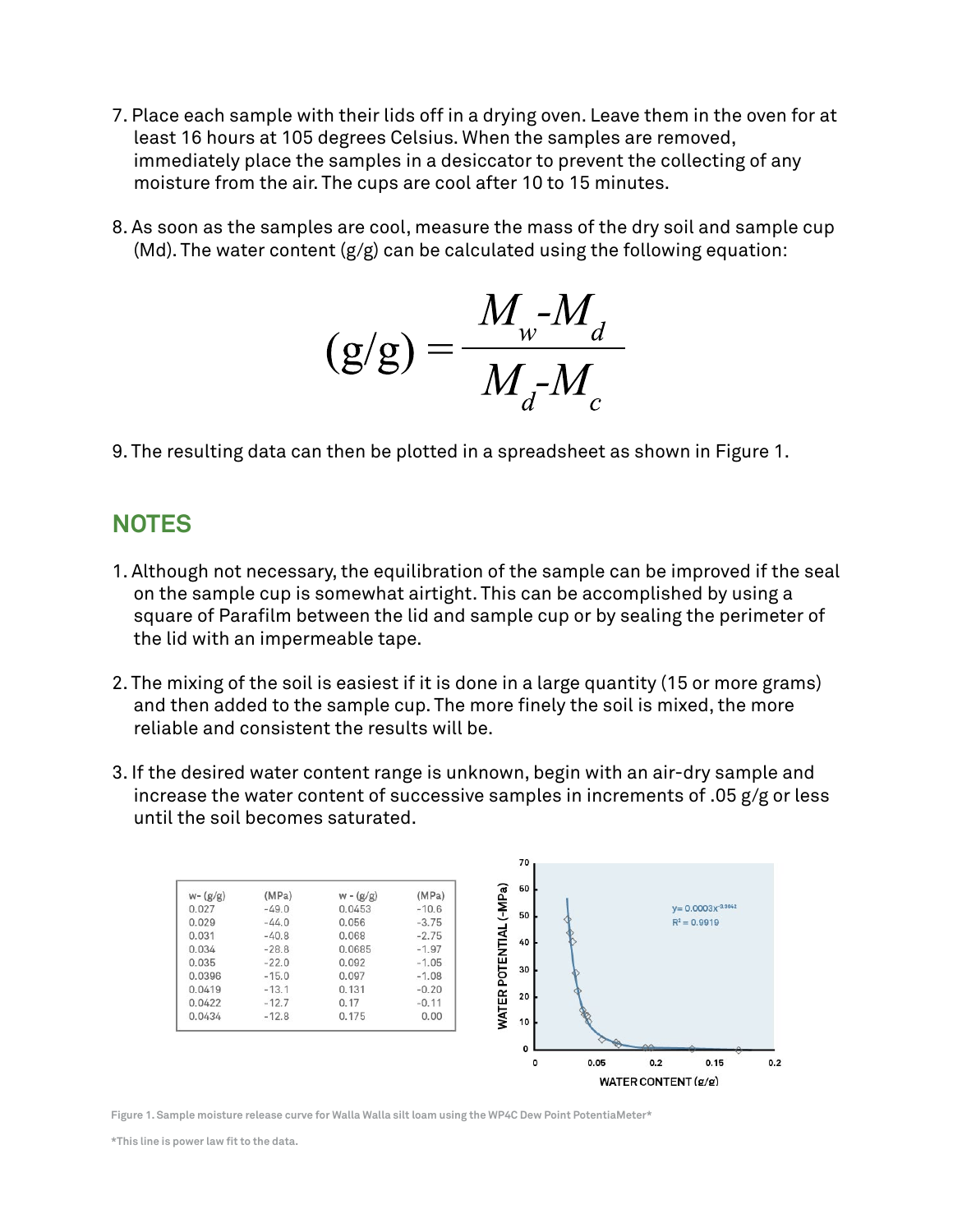- 7. Place each sample with their lids off in a drying oven. Leave them in the oven for at least 16 hours at 105 degrees Celsius. When the samples are removed, immediately place the samples in a desiccator to prevent the collecting of any moisture from the air. The cups are cool after 10 to 15 minutes.
- 8. As soon as the samples are cool, measure the mass of the dry soil and sample cup (Md). The water content (g/g) can be calculated using the following equation:

$$
(g/g) = \frac{M_w - M_d}{M_d - M_c}
$$

9. The resulting data can then be plotted in a spreadsheet as shown in Figure 1.

### **NOTES**

- 1. Although not necessary, the equilibration of the sample can be improved if the seal on the sample cup is somewhat airtight. This can be accomplished by using a square of Parafilm between the lid and sample cup or by sealing the perimeter of the lid with an impermeable tape.
- 2. The mixing of the soil is easiest if it is done in a large quantity (15 or more grams) and then added to the sample cup. The more finely the soil is mixed, the more reliable and consistent the results will be.
- 3. If the desired water content range is unknown, begin with an air-dry sample and increase the water content of successive samples in increments of .05 g/g or less until the soil becomes saturated.



**Figure 1. Sample moisture release curve for Walla Walla silt loam using the WP4C Dew Point PotentiaMeter\***

**\*This line is power law fit to the data.**